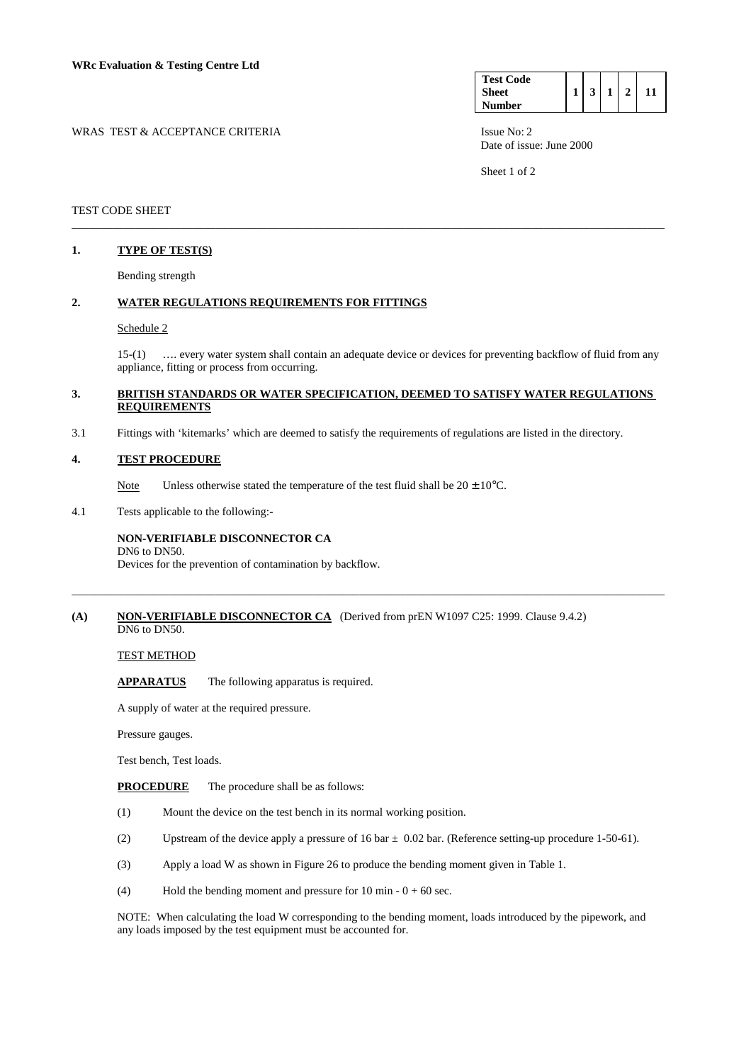| <b>Test Code</b> |  |  |  |
|------------------|--|--|--|
| Sheet            |  |  |  |
| <b>Number</b>    |  |  |  |

WRAS TEST & ACCEPTANCE CRITERIA **ISSUE NO: 2** Issue No: 2 Date of issue: June 2000

Sheet 1 of 2

# TEST CODE SHEET \_\_\_\_\_\_\_\_\_\_\_\_\_\_\_\_\_\_\_\_\_\_\_\_\_\_\_\_\_\_\_\_\_\_\_\_\_\_\_\_\_\_\_\_\_\_\_\_\_\_\_\_\_\_\_\_\_\_\_\_\_\_\_\_\_\_\_\_\_\_\_\_\_\_\_\_\_\_\_\_\_\_\_\_\_\_\_\_\_\_\_\_\_\_\_\_\_\_\_\_\_\_\_

# **1. TYPE OF TEST(S)**

Bending strength

# **2. WATER REGULATIONS REQUIREMENTS FOR FITTINGS**

# Schedule 2

 15-(1) …. every water system shall contain an adequate device or devices for preventing backflow of fluid from any appliance, fitting or process from occurring.

# **3. BRITISH STANDARDS OR WATER SPECIFICATION, DEEMED TO SATISFY WATER REGULATIONS REQUIREMENTS**

\_\_\_\_\_\_\_\_\_\_\_\_\_\_\_\_\_\_\_\_\_\_\_\_\_\_\_\_\_\_\_\_\_\_\_\_\_\_\_\_\_\_\_\_\_\_\_\_\_\_\_\_\_\_\_\_\_\_\_\_\_\_\_\_\_\_\_\_\_\_\_\_\_\_\_\_\_\_\_\_\_\_\_\_\_\_\_\_\_\_\_\_\_\_\_\_\_\_\_\_\_\_\_

3.1 Fittings with 'kitemarks' which are deemed to satisfy the requirements of regulations are listed in the directory.

# **4. TEST PROCEDURE**

Note Unless otherwise stated the temperature of the test fluid shall be  $20 \pm 10^{\circ}$ C.

4.1 Tests applicable to the following:-

#### **NON-VERIFIABLE DISCONNECTOR CA** DN6 to DN50.

Devices for the prevention of contamination by backflow.

### **(A) NON-VERIFIABLE DISCONNECTOR CA** (Derived from prEN W1097 C25: 1999. Clause 9.4.2) DN6 to DN50.

#### TEST METHOD

**APPARATUS** The following apparatus is required.

A supply of water at the required pressure.

Pressure gauges.

Test bench, Test loads.

- **PROCEDURE** The procedure shall be as follows:
- (1) Mount the device on the test bench in its normal working position.
- (2) Upstream of the device apply a pressure of 16 bar  $\pm$  0.02 bar. (Reference setting-up procedure 1-50-61).
- (3) Apply a load W as shown in Figure 26 to produce the bending moment given in Table 1.
- (4) Hold the bending moment and pressure for 10 min  $0 + 60$  sec.

 NOTE: When calculating the load W corresponding to the bending moment, loads introduced by the pipework, and any loads imposed by the test equipment must be accounted for.